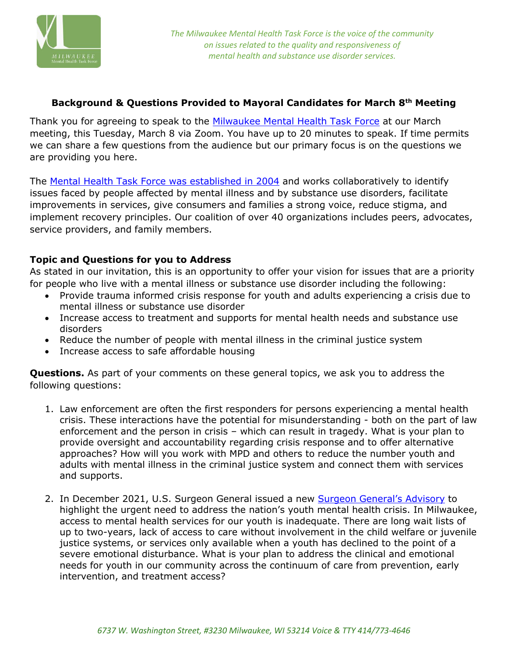

## **Background & Questions Provided to Mayoral Candidates for March 8th Meeting**

Thank you for agreeing to speak to the [Milwaukee Mental Health Task Force](https://www.milwaukeemhtf.org/) at our March meeting, this Tuesday, March 8 via Zoom. You have up to 20 minutes to speak. If time permits we can share a few questions from the audience but our primary focus is on the questions we are providing you here.

The [Mental Health Task Force was established in 2004](https://www.milwaukeemhtf.org/wp-content/uploads/2014/06/Critical-Juncture-MHTF-2004.pdf) and works collaboratively to identify issues faced by people affected by mental illness and by substance use disorders, facilitate improvements in services, give consumers and families a strong voice, reduce stigma, and implement recovery principles. Our coalition of over 40 organizations includes peers, advocates, service providers, and family members.

## **Topic and Questions for you to Address**

As stated in our invitation, this is an opportunity to offer your vision for issues that are a priority for people who live with a mental illness or substance use disorder including the following:

- Provide trauma informed crisis response for youth and adults experiencing a crisis due to mental illness or substance use disorder
- Increase access to treatment and supports for mental health needs and substance use disorders
- Reduce the number of people with mental illness in the criminal justice system
- Increase access to safe affordable housing

**Questions.** As part of your comments on these general topics, we ask you to address the following questions:

- 1. Law enforcement are often the first responders for persons experiencing a mental health crisis. These interactions have the potential for misunderstanding - both on the part of law enforcement and the person in crisis – which can result in tragedy. What is your plan to provide oversight and accountability regarding crisis response and to offer alternative approaches? How will you work with MPD and others to reduce the number youth and adults with mental illness in the criminal justice system and connect them with services and supports.
- 2. In December 2021, U.S. Surgeon General issued a new [Surgeon General's Advisory](https://www.hhs.gov/about/news/2021/12/07/us-surgeon-general-issues-advisory-on-youth-mental-health-crisis-further-exposed-by-covid-19-pandemic.html) to highlight the urgent need to address the nation's youth mental health crisis. In Milwaukee, access to mental health services for our youth is inadequate. There are long wait lists of up to two-years, lack of access to care without involvement in the child welfare or juvenile justice systems, or services only available when a youth has declined to the point of a severe emotional disturbance. What is your plan to address the clinical and emotional needs for youth in our community across the continuum of care from prevention, early intervention, and treatment access?